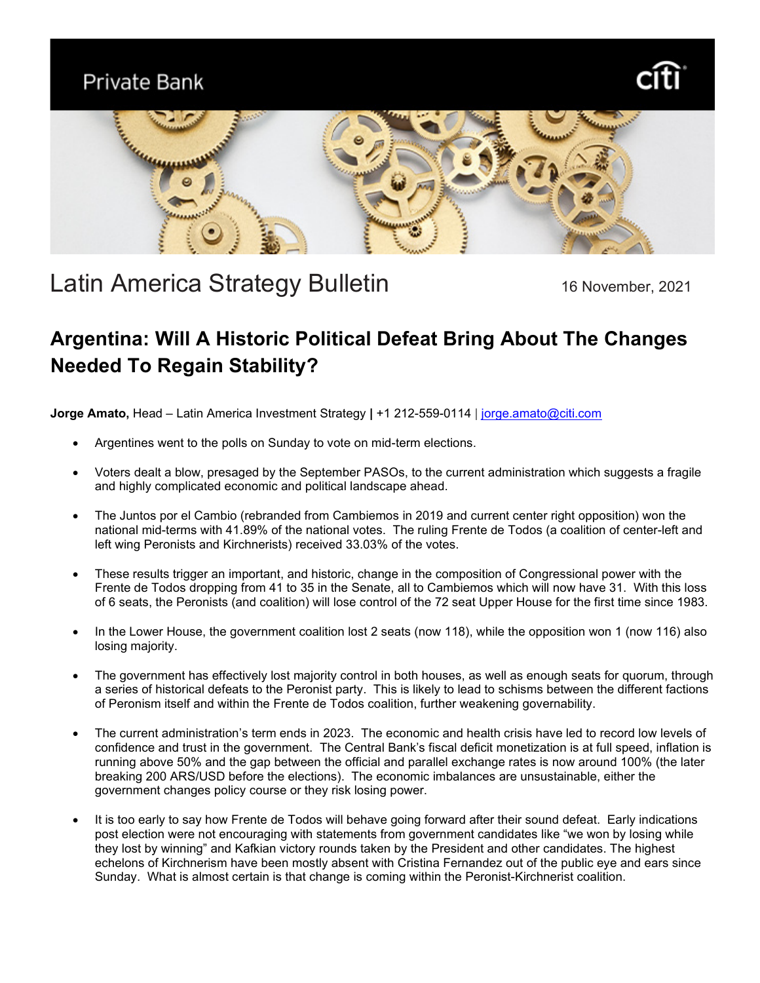### Private Bank





# Latin America Strategy Bulletin 16 November, 2021

## **Argentina: Will A Historic Political Defeat Bring About The Changes Needed To Regain Stability?**

**Jorge Amato,** Head – Latin America Investment Strategy **|** +1 212-559-0114 | [jorge.amato@citi.com](mailto:jorge.amato@citi.com)

- Argentines went to the polls on Sunday to vote on mid-term elections.
- Voters dealt a blow, presaged by the September PASOs, to the current administration which suggests a fragile and highly complicated economic and political landscape ahead.
- The Juntos por el Cambio (rebranded from Cambiemos in 2019 and current center right opposition) won the national mid-terms with 41.89% of the national votes. The ruling Frente de Todos (a coalition of center-left and left wing Peronists and Kirchnerists) received 33.03% of the votes.
- These results trigger an important, and historic, change in the composition of Congressional power with the Frente de Todos dropping from 41 to 35 in the Senate, all to Cambiemos which will now have 31. With this loss of 6 seats, the Peronists (and coalition) will lose control of the 72 seat Upper House for the first time since 1983.
- In the Lower House, the government coalition lost 2 seats (now 118), while the opposition won 1 (now 116) also losing majority.
- The government has effectively lost majority control in both houses, as well as enough seats for quorum, through a series of historical defeats to the Peronist party. This is likely to lead to schisms between the different factions of Peronism itself and within the Frente de Todos coalition, further weakening governability.
- The current administration's term ends in 2023. The economic and health crisis have led to record low levels of confidence and trust in the government. The Central Bank's fiscal deficit monetization is at full speed, inflation is running above 50% and the gap between the official and parallel exchange rates is now around 100% (the later breaking 200 ARS/USD before the elections). The economic imbalances are unsustainable, either the government changes policy course or they risk losing power.
- It is too early to say how Frente de Todos will behave going forward after their sound defeat. Early indications post election were not encouraging with statements from government candidates like "we won by losing while they lost by winning" and Kafkian victory rounds taken by the President and other candidates. The highest echelons of Kirchnerism have been mostly absent with Cristina Fernandez out of the public eye and ears since Sunday. What is almost certain is that change is coming within the Peronist-Kirchnerist coalition.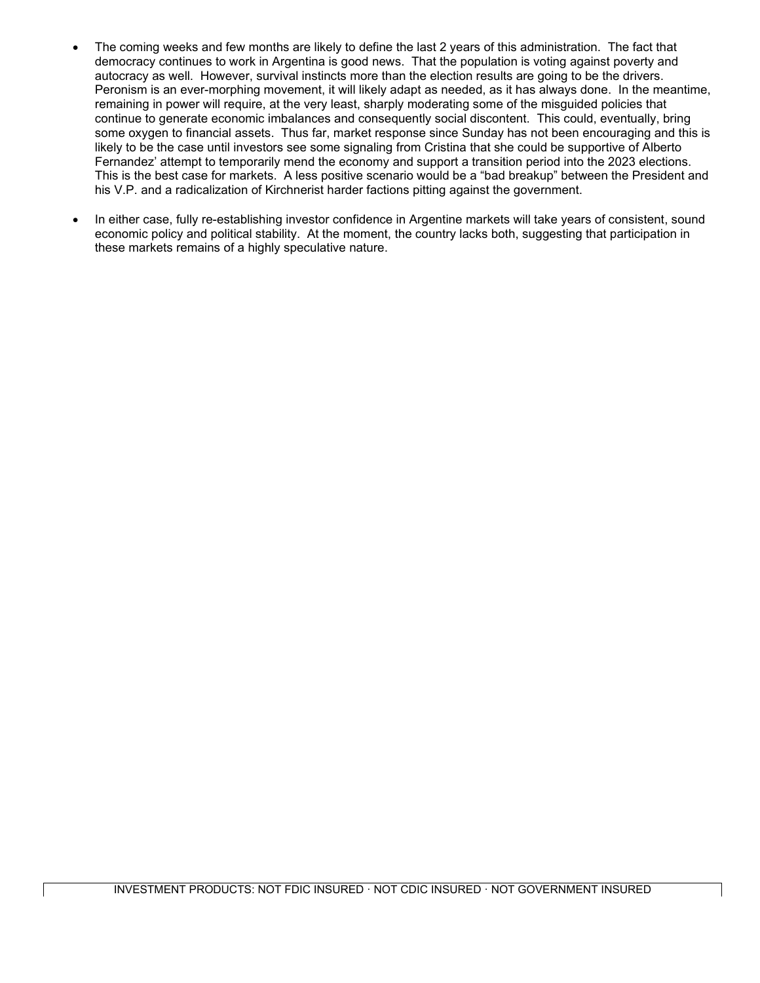- The coming weeks and few months are likely to define the last 2 years of this administration. The fact that democracy continues to work in Argentina is good news. That the population is voting against poverty and autocracy as well. However, survival instincts more than the election results are going to be the drivers. Peronism is an ever-morphing movement, it will likely adapt as needed, as it has always done. In the meantime, remaining in power will require, at the very least, sharply moderating some of the misguided policies that continue to generate economic imbalances and consequently social discontent. This could, eventually, bring some oxygen to financial assets. Thus far, market response since Sunday has not been encouraging and this is likely to be the case until investors see some signaling from Cristina that she could be supportive of Alberto Fernandez' attempt to temporarily mend the economy and support a transition period into the 2023 elections. This is the best case for markets. A less positive scenario would be a "bad breakup" between the President and his V.P. and a radicalization of Kirchnerist harder factions pitting against the government.
- In either case, fully re-establishing investor confidence in Argentine markets will take years of consistent, sound economic policy and political stability. At the moment, the country lacks both, suggesting that participation in these markets remains of a highly speculative nature.